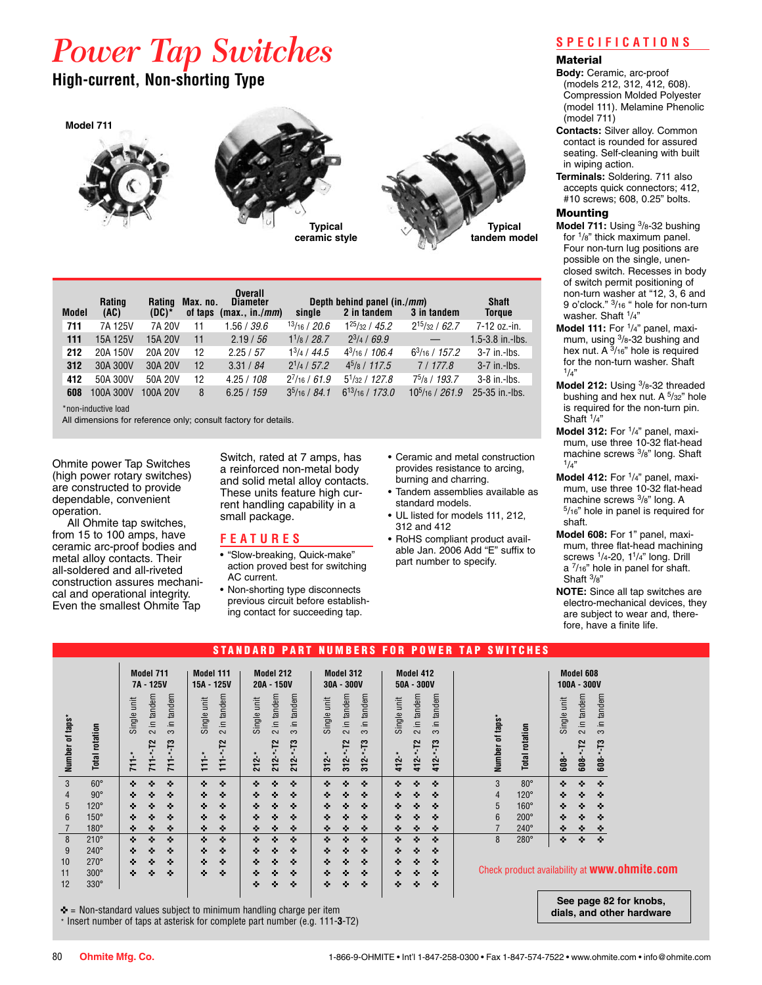# *Power Tap Switches*

## **High-current, Non-shorting Type**







| Model | Rating<br>(AC) | Rating<br>(DC)* | Max. no.<br>of taps | <b>Overall</b><br><b>Diameter</b><br>(max., in./mm) | single               | Depth behind panel (in./ <i>mm</i> )<br>2 in tandem | 3 in tandem         | <b>Shaft</b><br><b>Torque</b> |
|-------|----------------|-----------------|---------------------|-----------------------------------------------------|----------------------|-----------------------------------------------------|---------------------|-------------------------------|
| 711   | 7A 125V        | 7A 20V          | 11                  | .56 / 39.6                                          | 13/16/20.6           | $1^{25}/32/45.2$                                    | $2^{15}/32 / 62.7$  | 7-12 oz.-in.                  |
| 111   | 15A 125V       | 15A 20V         | 11                  | 2.19 / 56                                           | $1^{1}/_8$ / 28.7    | $2^{3}/4 / 69.9$                                    |                     | 1.5-3.8 in.-lbs.              |
| 212   | 20A 150V       | 20A 20V         | 12                  | 2.25 / 57                                           | $13/4$ / 44.5        | $4^{3}/_{16}$ / 106.4                               | $6^3/16/157.2$      | $3-7$ in.-lbs.                |
| 312   | 30A 300V       | 30A 20V         | $12 \overline{ }$   | 3.31 / 84                                           | $2^{1/4}$ / 57.2     | $4^{5}/\mathrm{s}$ / 117.5                          | 7/177.8             | $3-7$ in.-lbs.                |
| 412   | 50A 300V       | 50A 20V         | 12                  | 4.25 / 108                                          | $2^7/16 / 61.9$      | $5^{1}/_{32}$ / 127.8                               | $75/8$ / 193.7      | $3-8$ in.-lbs.                |
| 608   | 100A 300V      | 100A 20V        | 8                   | 6.25 / 159                                          | $3^{5}/_{16}$ / 84.1 | $6^{13}/_{16}$ / 173.0                              | $10^{5/16}$ / 261.9 | 25-35 in -lbs.                |
|       |                |                 |                     |                                                     |                      |                                                     |                     |                               |

\*non-inductive load

All dimensions for reference only; consult factory for details.

Ohmite power Tap Switches (high power rotary switches) are constructed to provide dependable, convenient operation.

All Ohmite tap switches, from 15 to 100 amps, have ceramic arc-proof bodies and metal alloy contacts. Their all-soldered and all-riveted construction assures mechanical and operational integrity. Even the smallest Ohmite Tap

Switch, rated at 7 amps, has a reinforced non-metal body and solid metal alloy contacts. These units feature high current handling capability in a small package.

#### **F E A T U R E S**

- "Slow-breaking, Quick-make" action proved best for switching AC current.
- Non-shorting type disconnects previous circuit before establishing contact for succeeding tap.
- Ceramic and metal construction provides resistance to arcing, burning and charring.
- Tandem assemblies available as standard models.
- UL listed for models 111, 212, 312 and 412
- RoHS compliant product available Jan. 2006 Add "E" suffix to part number to specify.

#### **S P E C I F I C A T I O N S**

#### **Material**

- **Body:** Ceramic, arc-proof (models 212, 312, 412, 608). Compression Molded Polyester (model 111). Melamine Phenolic (model 711)
- **Contacts:** Silver alloy. Common contact is rounded for assured seating. Self-cleaning with built in wiping action.
- **Terminals:** Soldering. 711 also accepts quick connectors; 412, #10 screws; 608, 0.25" bolts.

#### Mounting

- **Model 711:** Using 3/8-32 bushing for 1/8" thick maximum panel. Four non-turn lug positions are possible on the single, unenclosed switch. Recesses in body of switch permit positioning of non-turn washer at "12, 3, 6 and 9 o'clock." 3/16 " hole for non-turn washer. Shaft 1/4"
- Model 111: For <sup>1</sup>/4" panel, maximum, using  $3/8 - 32$  bushing and hex nut. A  $3/16$ " hole is required for the non-turn washer. Shaft  $1/4"$
- **Model 212:** Using 3/8-32 threaded bushing and hex nut. A <sup>5</sup>/32" hole is required for the non-turn pin. Shaft  $1/4$ "
- Model 312: For <sup>1</sup>/<sub>4</sub>" panel, maximum, use three 10-32 flat-head machine screws  $\frac{3}{8}$ " long. Shaft  $\frac{1}{4}$ "
- Model 412: For <sup>1</sup>/4" panel, maximum, use three 10-32 flat-head machine screws  $\frac{3}{8}$ " long. A<br> $\frac{5}{16}$ " hole in panel is required for shaft.
- **Model 608:** For 1" panel, maximum, three flat-head machining screws  $\frac{1}{4}$ -20,  $\frac{1}{4}$ " long. Drill a 7/16" hole in panel for shaft. Shaft 3/8"

**NOTE:** Since all tap switches are electro-mechanical devices, they are subject to wear and, therefore, have a finite life.

mobs.

nite.com

**dials, and other hardware**

|                 |                |                                              |                                    | 'AN N<br><b>ARD</b><br>P.                    | s<br><b>MBER</b><br>Ш                        | FOR.<br>WER.<br>P <sub>0</sub>                       | <b>TAP</b><br><b>SWITCHES</b>     |                                                      |  |
|-----------------|----------------|----------------------------------------------|------------------------------------|----------------------------------------------|----------------------------------------------|------------------------------------------------------|-----------------------------------|------------------------------------------------------|--|
|                 |                | Model 711<br>7A - 125V                       | <b>Model 111</b><br>15A - 125V     | Model 212<br>20A - 150V                      | Model 312<br>$30A - 300V$                    | Model 412<br>$50A - 300V$                            |                                   | Model 608<br>100A - 300V                             |  |
| Number of taps* |                | 2 in tandem<br>in tandem<br>Single unit<br>က | in tandem<br>Single unit<br>$\sim$ | 2 in tandem<br>in tandem<br>Single unit<br>က | 2 in tandem<br>in tandem<br>Single unit<br>က | in tandem<br>in tandem<br>Single unit<br>$\sim$<br>က |                                   | in tandem<br>in tandem<br>Single unit<br>က<br>$\sim$ |  |
|                 | Total rotation | $711 - 13$<br>$711 - T2$<br>$711 -$          | r2<br>111<br>$\frac{1}{11}$        | $212 - 13$<br>$212 - 72$<br>$212 -$ *        | $312 - 13$<br>-T2<br>$312.*$<br>$312 -$ *    | ÷ء<br>$412 - T2$<br>$412 -$<br>$412 -$ *             | Number of taps*<br>Total rotation | $608 - -13$<br>r2<br>$608 -$<br>$608 -$              |  |
| 3               | $60^\circ$     | ۰<br>۰<br>۰                                  | ۰<br>۰                             | ۰<br>۰<br>۰                                  | ۰<br>۰<br>۰                                  | ۰<br>۰<br>۰                                          | 3<br>$80^\circ$                   | ۰<br>۰<br>۰                                          |  |
| 4               | $90^\circ$     | ۰<br>۰<br>۰                                  | ۰<br>۰                             | ۰<br>۰<br>۰                                  | ۰<br>۰<br>۰                                  | ۰<br>۰<br>۰                                          | $120^\circ$<br>4                  | ۰<br>۰<br>۰                                          |  |
| 5               | $120^\circ$    | ۰<br>۰<br>۰                                  | ۰<br>۰                             | ۰<br>۰<br>۰                                  | ۰<br>۰<br>۰                                  | ۰<br>۰<br>۰                                          | 5<br>$160^\circ$                  | ۰<br>۰<br>۰                                          |  |
| 6               | $150^\circ$    | ۰<br>۰<br>۰                                  | ۰<br>۰                             | ۰<br>۰<br>۰                                  | ۰<br>۰<br>۰                                  | ۰<br>۰<br>۰                                          | 6<br>$200^\circ$                  | ۰<br>۰<br>۰                                          |  |
|                 | $180^\circ$    | ۰<br>۰<br>۰                                  | ۰<br>۰                             | ۰<br>۰<br>۰                                  | ۰<br>۰<br>۰                                  | ۰<br>۰<br>۰                                          | $240^\circ$                       | ۰<br>۰<br>۰                                          |  |
| 8               | $210^\circ$    | ۰<br>۰<br>۰                                  | ۰<br>÷.                            | ۰<br>۰<br>۰                                  | ۰<br>۰<br>۰                                  | ۰<br>۰<br>۰                                          | 8<br>280°                         | ٠<br>۰<br>۰                                          |  |
| 9               | $240^\circ$    | ۰<br>۰<br>÷.                                 | ۰<br>۰                             | ۰<br>۰<br>÷.                                 | ۰<br>۰<br>۰                                  | ۰<br>۰<br>۰                                          |                                   |                                                      |  |
| 10              | $270^\circ$    | ۰<br>۰<br>۰                                  | ۰<br>۰                             | ۰<br>۰<br>۰                                  | ۰<br>۰<br>۰                                  | ۰<br>۰<br>۰                                          |                                   |                                                      |  |
| 11              | $300^\circ$    | ۰<br>۰<br>۰                                  | ۰<br>۰                             | ۰<br>۰<br>۰                                  | ۰<br>۰<br>۰                                  | ۰<br>۰<br>۰                                          |                                   | Check product availability at <b>WWW.Ohn</b>         |  |
| 12              | $330^\circ$    |                                              |                                    | ۰<br>۰<br>۰                                  | ۰<br>۰<br>۰                                  | ۰<br>۰<br>۰                                          |                                   |                                                      |  |
|                 |                |                                              |                                    |                                              |                                              |                                                      |                                   | See page 82 for                                      |  |

 $\blacktriangleright$  = Non-standard values subject to minimum handling charge per item \* Insert number of taps at asterisk for complete part number (e.g. 111-**3**-T2)